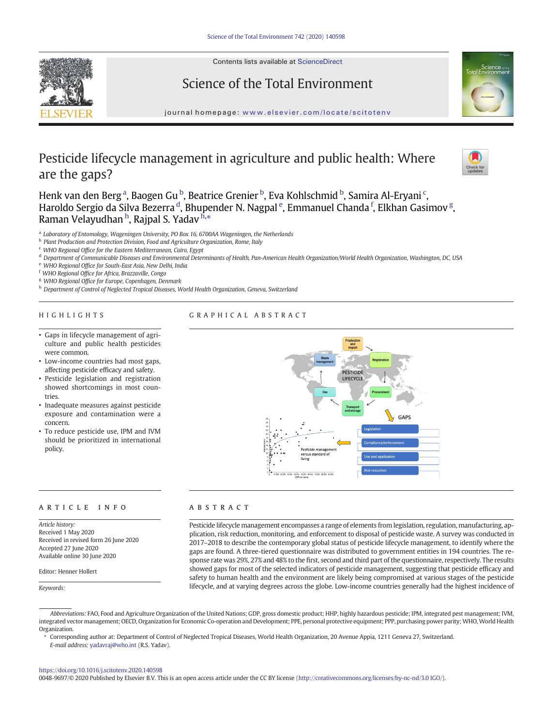Contents lists available at ScienceDirect

Science of the Total Environment





# journal homepage: <www.elsevier.com/locate/scitotenv>

# Pesticide lifecycle management in agriculture and public health: Where are the gaps?



Henk van den Berg<sup>a</sup>, Baogen Gu <sup>b</sup>, Beatrice Grenier <sup>b</sup>, Eva Kohlschmid <sup>b</sup>, Samira Al-Eryani <sup>c</sup>, Haroldo Sergio da Silva Bezerra <sup>d</sup>, Bhupender N. Nagpal <sup>e</sup>, Emmanuel Chanda <sup>f</sup>, Elkhan Gasimov <sup>g</sup>, Raman Velayudhan <sup>h</sup>, Rajpal S. Yadav <sup>h,</sup>\*

<sup>a</sup> Laboratory of Entomology, Wageningen University, PO Box 16, 6700AA Wageningen, the Netherlands

<sup>b</sup> Plant Production and Protection Division, Food and Agriculture Organization, Rome, Italy

 $c$  WHO Regional Office for the Eastern Mediterranean, Cairo, Egypt

<sup>d</sup> Department of Communicable Diseases and Environmental Determinants of Health, Pan-American Health Organization/World Health Organization, Washington, DC, USA

<sup>e</sup> WHO Regional Office for South-East Asia, New Delhi, India

<sup>f</sup> WHO Regional Office for Africa, Brazzaville, Congo

<sup>g</sup> WHO Regional Office for Europe, Copenhagen, Denmark

h Department of Control of Neglected Tropical Diseases, World Health Organization, Geneva, Switzerland

#### HIGHLIGHTS

## GRAPHICAL ABSTRACT

- Gaps in lifecycle management of agriculture and public health pesticides were common.
- Low-income countries had most gaps, affecting pesticide efficacy and safety.
- Pesticide legislation and registration showed shortcomings in most countries.
- Inadequate measures against pesticide exposure and contamination were a concern.
- To reduce pesticide use, IPM and IVM should be prioritized in international policy.

#### article info abstract

Article history: Received 1 May 2020 Received in revised form 26 June 2020 Accepted 27 June 2020 Available online 30 June 2020

Editor: Henner Hollert

Keywords:



Pesticide lifecycle management encompasses a range of elements from legislation, regulation, manufacturing, application, risk reduction, monitoring, and enforcement to disposal of pesticide waste. A survey was conducted in 2017–2018 to describe the contemporary global status of pesticide lifecycle management, to identify where the gaps are found. A three-tiered questionnaire was distributed to government entities in 194 countries. The response rate was 29%, 27% and 48% to the first, second and third part of the questionnaire, respectively. The results showed gaps for most of the selected indicators of pesticide management, suggesting that pesticide efficacy and safety to human health and the environment are likely being compromised at various stages of the pesticide lifecycle, and at varying degrees across the globe. Low-income countries generally had the highest incidence of

⁎ Corresponding author at: Department of Control of Neglected Tropical Diseases, World Health Organization, 20 Avenue Appia, 1211 Geneva 27, Switzerland. E-mail address: [yadavraj@who.int](mailto:yadavraj@who.int) (R.S. Yadav).

#### <https://doi.org/10.1016/j.scitotenv.2020.140598>

0048-9697/© 2020 Published by Elsevier B.V. This is an open access article under the CC BY license [\(http://creativecommons.org/licenses/by-nc-nd/3.0 IGO/](http://creativecommons.org/licenses/by-nc-nd/3.0 IGO/)).

Abbreviations: FAO, Food and Agriculture Organization of the United Nations; GDP, gross domestic product; HHP, highly hazardous pesticide; IPM, integrated pest management; IVM, integrated vector management; OECD, Organization for Economic Co-operation and Development; PPE, personal protective equipment; PPP, purchasing power parity;WHO, World Health Organization.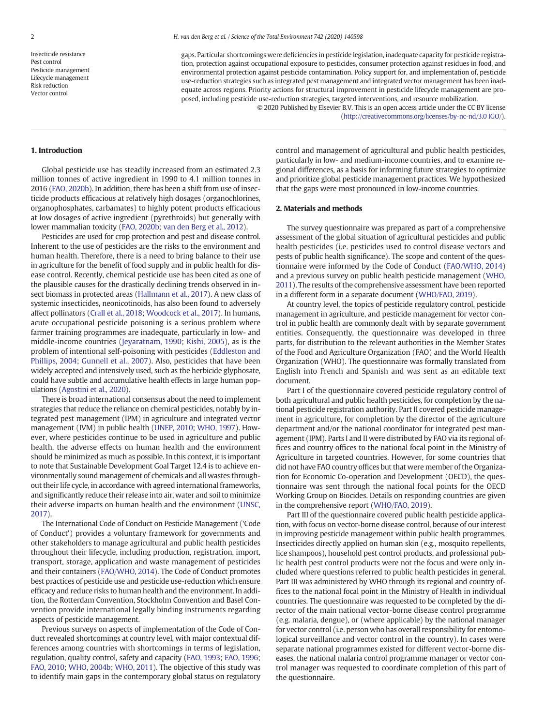Insecticide resistance Pest control Pesticide management Lifecycle management Risk reduction Vector control

gaps. Particular shortcomings were deficiencies in pesticide legislation, inadequate capacity for pesticide registration, protection against occupational exposure to pesticides, consumer protection against residues in food, and environmental protection against pesticide contamination. Policy support for, and implementation of, pesticide use-reduction strategies such as integrated pest management and integrated vector management has been inadequate across regions. Priority actions for structural improvement in pesticide lifecycle management are proposed, including pesticide use-reduction strategies, targeted interventions, and resource mobilization. © 2020 Published by Elsevier B.V. This is an open access article under the CC BY license

(<http://creativecommons.org/licenses/by-nc-nd/3.0 IGO/>).

#### 1. Introduction

Global pesticide use has steadily increased from an estimated 2.3 million tonnes of active ingredient in 1990 to 4.1 million tonnes in 2016 ([FAO, 2020b](#page-9-0)). In addition, there has been a shift from use of insecticide products efficacious at relatively high dosages (organochlorines, organophosphates, carbamates) to highly potent products efficacious at low dosages of active ingredient (pyrethroids) but generally with lower mammalian toxicity [\(FAO, 2020b;](#page-9-0) [van den Berg et al., 2012\)](#page-8-0).

Pesticides are used for crop protection and pest and disease control. Inherent to the use of pesticides are the risks to the environment and human health. Therefore, there is a need to bring balance to their use in agriculture for the benefit of food supply and in public health for disease control. Recently, chemical pesticide use has been cited as one of the plausible causes for the drastically declining trends observed in insect biomass in protected areas ([Hallmann et al., 2017\)](#page-9-0). A new class of systemic insecticides, neonicotinoids, has also been found to adversely affect pollinators ([Crall et al., 2018](#page-9-0); [Woodcock et al., 2017](#page-9-0)). In humans, acute occupational pesticide poisoning is a serious problem where farmer training programmes are inadequate, particularly in low- and middle-income countries [\(Jeyaratnam, 1990](#page-9-0); [Kishi, 2005](#page-9-0)), as is the problem of intentional self-poisoning with pesticides ([Eddleston and](#page-9-0) [Phillips, 2004;](#page-9-0) [Gunnell et al., 2007\)](#page-9-0). Also, pesticides that have been widely accepted and intensively used, such as the herbicide glyphosate, could have subtle and accumulative health effects in large human populations ([Agostini et al., 2020](#page-8-0)).

There is broad international consensus about the need to implement strategies that reduce the reliance on chemical pesticides, notably by integrated pest management (IPM) in agriculture and integrated vector management (IVM) in public health ([UNEP, 2010;](#page-9-0) [WHO, 1997](#page-9-0)). However, where pesticides continue to be used in agriculture and public health, the adverse effects on human health and the environment should be minimized as much as possible. In this context, it is important to note that Sustainable Development Goal Target 12.4 is to achieve environmentally sound management of chemicals and all wastes throughout their life cycle, in accordance with agreed international frameworks, and significantly reduce their release into air, water and soil to minimize their adverse impacts on human health and the environment ([UNSC,](#page-9-0) [2017\)](#page-9-0).

The International Code of Conduct on Pesticide Management ('Code of Conduct') provides a voluntary framework for governments and other stakeholders to manage agricultural and public health pesticides throughout their lifecycle, including production, registration, import, transport, storage, application and waste management of pesticides and their containers [\(FAO/WHO, 2014\)](#page-9-0). The Code of Conduct promotes best practices of pesticide use and pesticide use-reduction which ensure efficacy and reduce risks to human health and the environment. In addition, the Rotterdam Convention, Stockholm Convention and Basel Convention provide international legally binding instruments regarding aspects of pesticide management.

Previous surveys on aspects of implementation of the Code of Conduct revealed shortcomings at country level, with major contextual differences among countries with shortcomings in terms of legislation, regulation, quality control, safety and capacity [\(FAO, 1993;](#page-9-0) [FAO, 1996](#page-9-0); [FAO, 2010](#page-9-0); [WHO, 2004b;](#page-9-0) [WHO, 2011](#page-9-0)). The objective of this study was to identify main gaps in the contemporary global status on regulatory control and management of agricultural and public health pesticides, particularly in low- and medium-income countries, and to examine regional differences, as a basis for informing future strategies to optimize and prioritize global pesticide management practices. We hypothesized that the gaps were most pronounced in low-income countries.

#### 2. Materials and methods

The survey questionnaire was prepared as part of a comprehensive assessment of the global situation of agricultural pesticides and public health pesticides (i.e. pesticides used to control disease vectors and pests of public health significance). The scope and content of the questionnaire were informed by the Code of Conduct [\(FAO/WHO, 2014](#page-9-0)) and a previous survey on public health pesticide management [\(WHO,](#page-9-0) [2011\)](#page-9-0). The results of the comprehensive assessment have been reported in a different form in a separate document ([WHO/FAO, 2019](#page-9-0)).

At country level, the topics of pesticide regulatory control, pesticide management in agriculture, and pesticide management for vector control in public health are commonly dealt with by separate government entities. Consequently, the questionnaire was developed in three parts, for distribution to the relevant authorities in the Member States of the Food and Agriculture Organization (FAO) and the World Health Organization (WHO). The questionnaire was formally translated from English into French and Spanish and was sent as an editable text document.

Part I of the questionnaire covered pesticide regulatory control of both agricultural and public health pesticides, for completion by the national pesticide registration authority. Part II covered pesticide management in agriculture, for completion by the director of the agriculture department and/or the national coordinator for integrated pest management (IPM). Parts I and II were distributed by FAO via its regional offices and country offices to the national focal point in the Ministry of Agriculture in targeted countries. However, for some countries that did not have FAO country offices but that were member of the Organization for Economic Co-operation and Development (OECD), the questionnaire was sent through the national focal points for the OECD Working Group on Biocides. Details on responding countries are given in the comprehensive report ([WHO/FAO, 2019](#page-9-0)).

Part III of the questionnaire covered public health pesticide application, with focus on vector-borne disease control, because of our interest in improving pesticide management within public health programmes. Insecticides directly applied on human skin (e.g., mosquito repellents, lice shampoos), household pest control products, and professional public health pest control products were not the focus and were only included where questions referred to public health pesticides in general. Part III was administered by WHO through its regional and country offices to the national focal point in the Ministry of Health in individual countries. The questionnaire was requested to be completed by the director of the main national vector-borne disease control programme (e.g. malaria, dengue), or (where applicable) by the national manager for vector control (i.e. person who has overall responsibility for entomological surveillance and vector control in the country). In cases were separate national programmes existed for different vector-borne diseases, the national malaria control programme manager or vector control manager was requested to coordinate completion of this part of the questionnaire.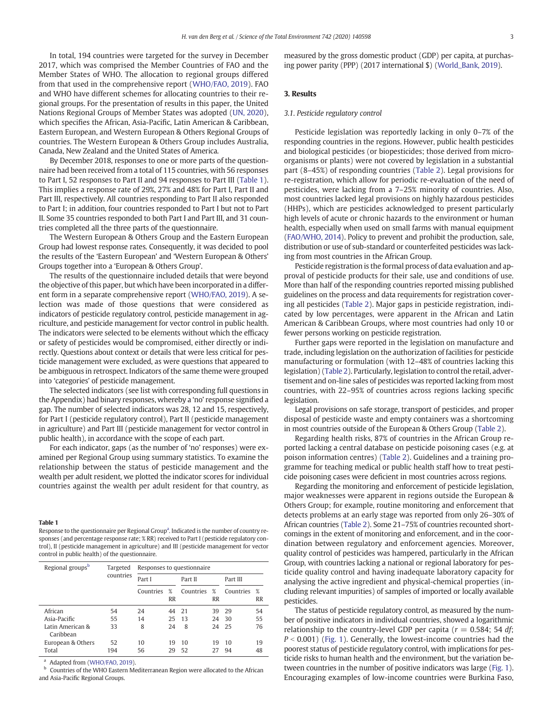In total, 194 countries were targeted for the survey in December 2017, which was comprised the Member Countries of FAO and the Member States of WHO. The allocation to regional groups differed from that used in the comprehensive report ([WHO/FAO, 2019\)](#page-9-0). FAO and WHO have different schemes for allocating countries to their regional groups. For the presentation of results in this paper, the United Nations Regional Groups of Member States was adopted [\(UN, 2020](#page-9-0)), which specifies the African, Asia-Pacific, Latin American & Caribbean, Eastern European, and Western European & Others Regional Groups of countries. The Western European & Others Group includes Australia, Canada, New Zealand and the United States of America.

By December 2018, responses to one or more parts of the questionnaire had been received from a total of 115 countries, with 56 responses to Part I, 52 responses to Part II and 94 responses to Part III (Table 1). This implies a response rate of 29%, 27% and 48% for Part I, Part II and Part III, respectively. All countries responding to Part II also responded to Part I; in addition, four countries responded to Part I but not to Part II. Some 35 countries responded to both Part I and Part III, and 31 countries completed all the three parts of the questionnaire.

The Western European & Others Group and the Eastern European Group had lowest response rates. Consequently, it was decided to pool the results of the 'Eastern European' and 'Western European & Others' Groups together into a 'European & Others Group'.

The results of the questionnaire included details that were beyond the objective of this paper, but which have been incorporated in a different form in a separate comprehensive report [\(WHO/FAO, 2019](#page-9-0)). A selection was made of those questions that were considered as indicators of pesticide regulatory control, pesticide management in agriculture, and pesticide management for vector control in public health. The indicators were selected to be elements without which the efficacy or safety of pesticides would be compromised, either directly or indirectly. Questions about context or details that were less critical for pesticide management were excluded, as were questions that appeared to be ambiguous in retrospect. Indicators of the same theme were grouped into 'categories' of pesticide management.

The selected indicators (see list with corresponding full questions in the Appendix) had binary responses, whereby a 'no' response signified a gap. The number of selected indicators was 28, 12 and 15, respectively, for Part I (pesticide regulatory control), Part II (pesticide management in agriculture) and Part III (pesticide management for vector control in public health), in accordance with the scope of each part.

For each indicator, gaps (as the number of 'no' responses) were examined per Regional Group using summary statistics. To examine the relationship between the status of pesticide management and the wealth per adult resident, we plotted the indicator scores for individual countries against the wealth per adult resident for that country, as

#### Table 1

Response to the questionnaire per Regional Group<sup>a</sup>. Indicated is the number of country responses (and percentage response rate; % RR) received to Part I (pesticide regulatory control), II (pesticide management in agriculture) and III (pesticide management for vector control in public health) of the questionnaire.

| Regional groups <sup>b</sup>  | Targeted  | Responses to questionnaire |                |           |                |           |                |  |
|-------------------------------|-----------|----------------------------|----------------|-----------|----------------|-----------|----------------|--|
|                               | countries | Part I                     |                | Part II   |                | Part III  |                |  |
|                               |           | Countries                  | %<br><b>RR</b> | Countries | %<br><b>RR</b> | Countries | %<br><b>RR</b> |  |
| African                       | 54        | 24                         | 44             | 21        | 39             | 29        | 54             |  |
| Asia-Pacific                  | 55        | 14                         | 25             | 13        | 24             | -30       | 55             |  |
| Latin American &<br>Caribbean | 33        | 8                          | 24             | 8         |                | 24 25     | 76             |  |
| European & Others             | 52        | 10                         | 19             | 10        | 19             | 10        | 19             |  |
| Total                         | 194       | 56                         | 29             | 52        | 27             | 94        | 48             |  |

<sup>a</sup> Adapted from [\(WHO/FAO, 2019\)](#page-9-0)<sup>b</sup>. Countries of the MUO Festern M

Countries of the WHO Eastern Mediterranean Region were allocated to the African and Asia-Pacific Regional Groups.

measured by the gross domestic product (GDP) per capita, at purchasing power parity (PPP) (2017 international \$) [\(World\\_Bank, 2019](#page-9-0)).

### 3. Results

#### 3.1. Pesticide regulatory control

Pesticide legislation was reportedly lacking in only 0–7% of the responding countries in the regions. However, public health pesticides and biological pesticides (or biopesticides; those derived from microorganisms or plants) were not covered by legislation in a substantial part (8–45%) of responding countries ([Table 2](#page-3-0)). Legal provisions for re-registration, which allow for periodic re-evaluation of the need of pesticides, were lacking from a 7–25% minority of countries. Also, most countries lacked legal provisions on highly hazardous pesticides (HHPs), which are pesticides acknowledged to present particularly high levels of acute or chronic hazards to the environment or human health, especially when used on small farms with manual equipment [\(FAO/WHO, 2014\)](#page-9-0). Policy to prevent and prohibit the production, sale, distribution or use of sub-standard or counterfeited pesticides was lacking from most countries in the African Group.

Pesticide registration is the formal process of data evaluation and approval of pesticide products for their sale, use and conditions of use. More than half of the responding countries reported missing published guidelines on the process and data requirements for registration covering all pesticides ([Table 2](#page-3-0)). Major gaps in pesticide registration, indicated by low percentages, were apparent in the African and Latin American & Caribbean Groups, where most countries had only 10 or fewer persons working on pesticide registration.

Further gaps were reported in the legislation on manufacture and trade, including legislation on the authorization of facilities for pesticide manufacturing or formulation (with 12–48% of countries lacking this legislation) [\(Table 2](#page-3-0)). Particularly, legislation to control the retail, advertisement and on-line sales of pesticides was reported lacking from most countries, with 22–95% of countries across regions lacking specific legislation.

Legal provisions on safe storage, transport of pesticides, and proper disposal of pesticide waste and empty containers was a shortcoming in most countries outside of the European & Others Group [\(Table 2\)](#page-3-0).

Regarding health risks, 87% of countries in the African Group reported lacking a central database on pesticide poisoning cases (e.g. at poison information centres) [\(Table 2](#page-3-0)). Guidelines and a training programme for teaching medical or public health staff how to treat pesticide poisoning cases were deficient in most countries across regions.

Regarding the monitoring and enforcement of pesticide legislation, major weaknesses were apparent in regions outside the European & Others Group; for example, routine monitoring and enforcement that detects problems at an early stage was reported from only 26–30% of African countries ([Table 2](#page-3-0)). Some 21–75% of countries recounted shortcomings in the extent of monitoring and enforcement, and in the coordination between regulatory and enforcement agencies. Moreover, quality control of pesticides was hampered, particularly in the African Group, with countries lacking a national or regional laboratory for pesticide quality control and having inadequate laboratory capacity for analysing the active ingredient and physical-chemical properties (including relevant impurities) of samples of imported or locally available pesticides.

The status of pesticide regulatory control, as measured by the number of positive indicators in individual countries, showed a logarithmic relationship to the country-level GDP per capita ( $r = 0.584$ ; 54 df;  $P < 0.001$ ) [\(Fig. 1](#page-3-0)). Generally, the lowest-income countries had the poorest status of pesticide regulatory control, with implications for pesticide risks to human health and the environment, but the variation between countries in the number of positive indicators was large ([Fig. 1](#page-3-0)). Encouraging examples of low-income countries were Burkina Faso,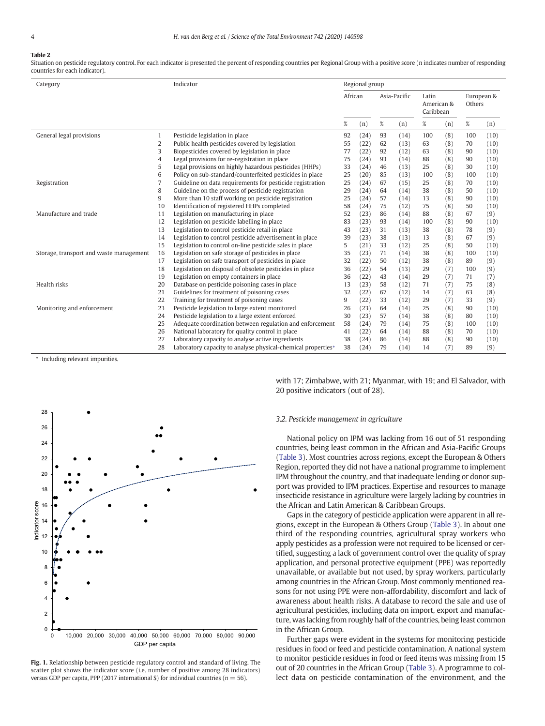# <span id="page-3-0"></span>Table 2

Situation on pesticide regulatory control. For each indicator is presented the percent of responding countries per Regional Group with a positive score (n indicates number of responding countries for each indicator).

| Category                                |                | Indicator                                                    |         | Regional group |              |      |                                  |     |                      |      |  |
|-----------------------------------------|----------------|--------------------------------------------------------------|---------|----------------|--------------|------|----------------------------------|-----|----------------------|------|--|
|                                         |                |                                                              | African |                | Asia-Pacific |      | Latin<br>American &<br>Caribbean |     | European &<br>Others |      |  |
|                                         |                |                                                              | %       | (n)            | $\%$         | (n)  | $\%$                             | (n) | $\%$                 | (n)  |  |
| General legal provisions                | $\mathbf{1}$   | Pesticide legislation in place                               | 92      | (24)           | 93           | (14) | 100                              | (8) | 100                  | (10) |  |
|                                         | $\overline{2}$ | Public health pesticides covered by legislation              | 55      | (22)           | 62           | (13) | 63                               | (8) | 70                   | (10) |  |
|                                         | 3              | Biopesticides covered by legislation in place                | 77      | (22)           | 92           | (12) | 63                               | (8) | 90                   | (10) |  |
|                                         | 4              | Legal provisions for re-registration in place                | 75      | (24)           | 93           | (14) | 88                               | (8) | 90                   | (10) |  |
|                                         | 5              | Legal provisions on highly hazardous pesticides (HHPs)       | 33      | (24)           | 46           | (13) | 25                               | (8) | 30                   | (10) |  |
|                                         | 6              | Policy on sub-standard/counterfeited pesticides in place     | 25      | (20)           | 85           | (13) | 100                              | (8) | 100                  | (10) |  |
| Registration                            | 7              | Guideline on data requirements for pesticide registration    | 25      | (24)           | 67           | (15) | 25                               | (8) | 70                   | (10) |  |
|                                         | 8              | Guideline on the process of pesticide registration           | 29      | (24)           | 64           | (14) | 38                               | (8) | 50                   | (10) |  |
|                                         | 9              | More than 10 staff working on pesticide registration         | 25      | (24)           | 57           | (14) | 13                               | (8) | 90                   | (10) |  |
|                                         | 10             | Identification of registered HHPs completed                  | 58      | (24)           | 75           | (12) | 75                               | (8) | 50                   | (10) |  |
| Manufacture and trade<br>11             |                | Legislation on manufacturing in place                        | 52      | (23)           | 86           | (14) | 88                               | (8) | 67                   | (9)  |  |
|                                         | 12             | Legislation on pesticide labelling in place                  | 83      | (23)           | 93           | (14) | 100                              | (8) | 90                   | (10) |  |
|                                         | 13             | Legislation to control pesticide retail in place             | 43      | (23)           | 31           | (13) | 38                               | (8) | 78                   | (9)  |  |
|                                         | 14             | Legislation to control pesticide advertisement in place      | 39      | (23)           | 38           | (13) | 13                               | (8) | 67                   | (9)  |  |
|                                         | 15             | Legislation to control on-line pesticide sales in place      | 5       | (21)           | 33           | (12) | 25                               | (8) | 50                   | (10) |  |
| Storage, transport and waste management |                | Legislation on safe storage of pesticides in place           | 35      | (23)           | 71           | (14) | 38                               | (8) | 100                  | (10) |  |
|                                         | 17             | Legislation on safe transport of pesticides in place         | 32      | (22)           | 50           | (12) | 38                               | (8) | 89                   | (9)  |  |
|                                         | 18             | Legislation on disposal of obsolete pesticides in place      | 36      | (22)           | 54           | (13) | 29                               | (7) | 100                  | (9)  |  |
|                                         | 19             | Legislation on empty containers in place                     | 36      | (22)           | 43           | (14) | 29                               | (7) | 71                   | (7)  |  |
| Health risks                            | 20             | Database on pesticide poisoning cases in place               | 13      | (23)           | 58           | (12) | 71                               | (7) | 75                   | (8)  |  |
|                                         | 21             | Guidelines for treatment of poisoning cases                  | 32      | (22)           | 67           | (12) | 14                               | (7) | 63                   | (8)  |  |
|                                         | 22             | Training for treatment of poisoning cases                    | 9       | (22)           | 33           | (12) | 29                               | (7) | 33                   | (9)  |  |
| Monitoring and enforcement              | 23             | Pesticide legislation to large extent monitored              | 26      | (23)           | 64           | (14) | 25                               | (8) | 90                   | (10) |  |
|                                         | 24             | Pesticide legislation to a large extent enforced             | 30      | (23)           | 57           | (14) | 38                               | (8) | 80                   | (10) |  |
|                                         | 25             | Adequate coordination between regulation and enforcement     | 58      | (24)           | 79           | (14) | 75                               | (8) | 100                  | (10) |  |
|                                         | 26             | National laboratory for quality control in place             | 41      | (22)           | 64           | (14) | 88                               | (8) | 70                   | (10) |  |
|                                         | 27             | Laboratory capacity to analyse active ingredients            | 38      | (24)           | 86           | (14) | 88                               | (8) | 90                   | (10) |  |
|                                         | 28             | Laboratory capacity to analyse physical-chemical properties* | 38      | (24)           | 79           | (14) | 14                               | (7) | 89                   | (9)  |  |

⁎ Including relevant impurities.



Fig. 1. Relationship between pesticide regulatory control and standard of living. The scatter plot shows the indicator score (i.e. number of positive among 28 indicators) versus GDP per capita, PPP (2017 international \$) for individual countries ( $n = 56$ ).

with 17; Zimbabwe, with 21; Myanmar, with 19; and El Salvador, with 20 positive indicators (out of 28).

#### 3.2. Pesticide management in agriculture

National policy on IPM was lacking from 16 out of 51 responding countries, being least common in the African and Asia-Pacific Groups [\(Table 3\)](#page-4-0). Most countries across regions, except the European & Others Region, reported they did not have a national programme to implement IPM throughout the country, and that inadequate lending or donor support was provided to IPM practices. Expertise and resources to manage insecticide resistance in agriculture were largely lacking by countries in the African and Latin American & Caribbean Groups.

Gaps in the category of pesticide application were apparent in all regions, except in the European & Others Group [\(Table 3\)](#page-4-0). In about one third of the responding countries, agricultural spray workers who apply pesticides as a profession were not required to be licensed or certified, suggesting a lack of government control over the quality of spray application, and personal protective equipment (PPE) was reportedly unavailable, or available but not used, by spray workers, particularly among countries in the African Group. Most commonly mentioned reasons for not using PPE were non-affordability, discomfort and lack of awareness about health risks. A database to record the sale and use of agricultural pesticides, including data on import, export and manufacture, was lacking from roughly half of the countries, being least common in the African Group.

Further gaps were evident in the systems for monitoring pesticide residues in food or feed and pesticide contamination. A national system to monitor pesticide residues in food or feed items was missing from 15 out of 20 countries in the African Group [\(Table 3](#page-4-0)). A programme to collect data on pesticide contamination of the environment, and the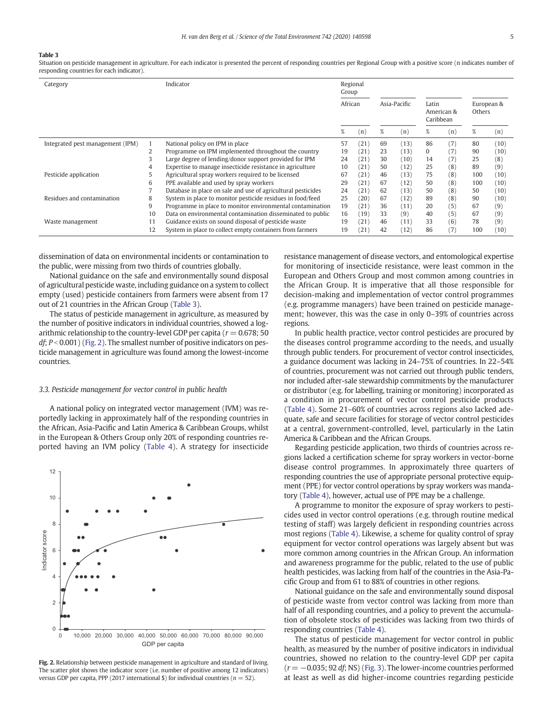#### <span id="page-4-0"></span>Table 3

Situation on pesticide management in agriculture. For each indicator is presented the percent of responding countries per Regional Group with a positive score (n indicates number of responding countries for each indicator).

| Category                         |    | Indicator                                                    |                         | Regional<br>Group |    |                                  |    |                      |     |      |
|----------------------------------|----|--------------------------------------------------------------|-------------------------|-------------------|----|----------------------------------|----|----------------------|-----|------|
|                                  |    |                                                              | African<br>Asia-Pacific |                   |    | Latin<br>American &<br>Caribbean |    | European &<br>Others |     |      |
|                                  |    |                                                              | %                       | (n)               | %  | (n)                              | %  | (n)                  | %   | (n)  |
| Integrated pest management (IPM) |    | National policy on IPM in place                              | 57                      | (21)              | 69 | (13)                             | 86 | (7)                  | 80  | (10) |
|                                  |    | Programme on IPM implemented throughout the country          | 19                      | (21)              | 23 | (13)                             | 0  | (7)                  | 90  | (10) |
|                                  | 3  | Large degree of lending/donor support provided for IPM       | 24                      | (21)              | 30 | (10)                             | 14 | (7)                  | 25  | (8)  |
|                                  |    | Expertise to manage insecticide resistance in agriculture    | 10                      | (21)              | 50 | (12)                             | 25 | (8)                  | 89  | (9)  |
| Pesticide application            |    | Agricultural spray workers required to be licensed           | 67                      | (21)              | 46 | (13)                             | 75 | (8)                  | 100 | (10) |
|                                  | 6  | PPE available and used by spray workers                      | 29                      | (21)              | 67 | (12)                             | 50 | (8)                  | 100 | (10) |
|                                  |    | Database in place on sale and use of agricultural pesticides | 24                      | (21)              | 62 | (13)                             | 50 | (8)                  | 50  | (10) |
| Residues and contamination       | 8  | System in place to monitor pesticide residues in food/feed   | 25                      | (20)              | 67 | (12)                             | 89 | (8)                  | 90  | (10) |
|                                  | 9  | Programme in place to monitor environmental contamination    | 19                      | (21)              | 36 | (11)                             | 20 | (5)                  | 67  | (9)  |
|                                  | 10 | Data on environmental contamination disseminated to public   | 16                      | (19)              | 33 | (9)                              | 40 | (5)                  | 67  | (9)  |
| Waste management                 | 11 | Guidance exists on sound disposal of pesticide waste         | 19                      | (21)              | 46 | (11)                             | 33 | (6)                  | 78  | (9)  |
|                                  | 12 | System in place to collect empty containers from farmers     | 19                      | (21               | 42 | (12)                             | 86 | (7)                  | 100 | (10) |

dissemination of data on environmental incidents or contamination to the public, were missing from two thirds of countries globally.

National guidance on the safe and environmentally sound disposal of agricultural pesticide waste, including guidance on a system to collect empty (used) pesticide containers from farmers were absent from 17 out of 21 countries in the African Group (Table 3).

The status of pesticide management in agriculture, as measured by the number of positive indicators in individual countries, showed a logarithmic relationship to the country-level GDP per capita ( $r = 0.678$ ; 50  $df$ ;  $P < 0.001$ ) (Fig. 2). The smallest number of positive indicators on pesticide management in agriculture was found among the lowest-income countries.

#### 3.3. Pesticide management for vector control in public health

A national policy on integrated vector management (IVM) was reportedly lacking in approximately half of the responding countries in the African, Asia-Pacific and Latin America & Caribbean Groups, whilst in the European & Others Group only 20% of responding countries reported having an IVM policy ([Table 4\)](#page-5-0). A strategy for insecticide



Fig. 2. Relationship between pesticide management in agriculture and standard of living. The scatter plot shows the indicator score (i.e. number of positive among 12 indicators) versus GDP per capita, PPP (2017 international \$) for individual countries ( $n = 52$ ).

resistance management of disease vectors, and entomological expertise for monitoring of insecticide resistance, were least common in the European and Others Group and most common among countries in the African Group. It is imperative that all those responsible for decision-making and implementation of vector control programmes (e.g. programme managers) have been trained on pesticide management; however, this was the case in only 0–39% of countries across regions.

In public health practice, vector control pesticides are procured by the diseases control programme according to the needs, and usually through public tenders. For procurement of vector control insecticides, a guidance document was lacking in 24–75% of countries. In 22–54% of countries, procurement was not carried out through public tenders, nor included after-sale stewardship commitments by the manufacturer or distributor (e.g. for labelling, training or monitoring) incorporated as a condition in procurement of vector control pesticide products [\(Table 4\)](#page-5-0). Some 21–60% of countries across regions also lacked adequate, safe and secure facilities for storage of vector control pesticides at a central, government-controlled, level, particularly in the Latin America & Caribbean and the African Groups.

Regarding pesticide application, two thirds of countries across regions lacked a certification scheme for spray workers in vector-borne disease control programmes. In approximately three quarters of responding countries the use of appropriate personal protective equipment (PPE) for vector control operations by spray workers was mandatory ([Table 4](#page-5-0)), however, actual use of PPE may be a challenge.

A programme to monitor the exposure of spray workers to pesticides used in vector control operations (e.g. through routine medical testing of staff) was largely deficient in responding countries across most regions [\(Table 4](#page-5-0)). Likewise, a scheme for quality control of spray equipment for vector control operations was largely absent but was more common among countries in the African Group. An information and awareness programme for the public, related to the use of public health pesticides, was lacking from half of the countries in the Asia-Pacific Group and from 61 to 88% of countries in other regions.

National guidance on the safe and environmentally sound disposal of pesticide waste from vector control was lacking from more than half of all responding countries, and a policy to prevent the accumulation of obsolete stocks of pesticides was lacking from two thirds of responding countries [\(Table 4\)](#page-5-0).

The status of pesticide management for vector control in public health, as measured by the number of positive indicators in individual countries, showed no relation to the country-level GDP per capita  $(r = -0.035; 92 df; NS)$  ([Fig. 3\)](#page-5-0). The lower-income countries performed at least as well as did higher-income countries regarding pesticide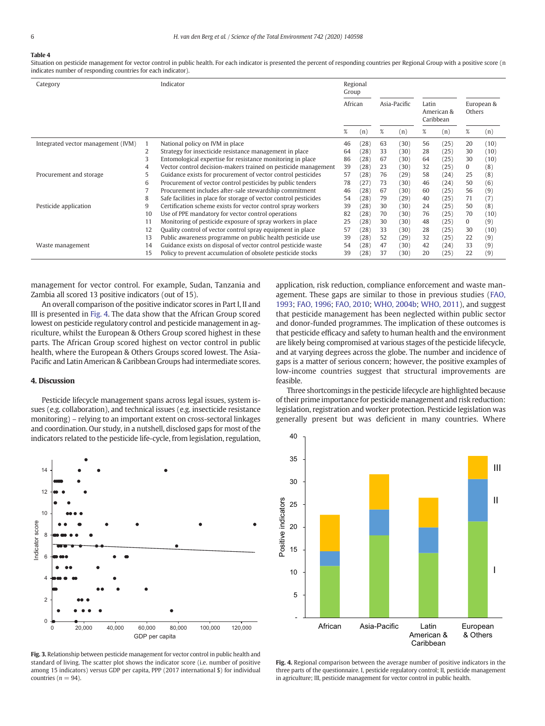# <span id="page-5-0"></span>Table 4

Situation on pesticide management for vector control in public health. For each indicator is presented the percent of responding countries per Regional Group with a positive score (n indicates number of responding countries for each indicator).

| Category                           |    | Indicator                                                         | Regional<br>Group |      |              |      |                                  |      |                      |      |
|------------------------------------|----|-------------------------------------------------------------------|-------------------|------|--------------|------|----------------------------------|------|----------------------|------|
|                                    |    |                                                                   | African           |      | Asia-Pacific |      | Latin<br>American &<br>Caribbean |      | European &<br>Others |      |
|                                    |    |                                                                   | %                 | (n)  | %            | (n)  | %                                | (n)  | %                    | (n)  |
| Integrated vector management (IVM) |    | National policy on IVM in place                                   | 46                | (28) | 63           | (30) | 56                               | (25) | 20                   | (10) |
|                                    | 2  | Strategy for insecticide resistance management in place           | 64                | (28) | 33           | (30) | 28                               | (25) | 30                   | (10) |
|                                    | 3  | Entomological expertise for resistance monitoring in place        | 86                | (28) | 67           | (30) | 64                               | (25) | 30                   | (10) |
|                                    |    | Vector control decision-makers trained on pesticide management    | 39                | (28) | 23           | (30) | 32                               | (25) | 0                    | (8)  |
| Procurement and storage            | 5  | Guidance exists for procurement of vector control pesticides      | 57                | (28) | 76           | (29) | 58                               | (24) | 25                   | (8)  |
|                                    | 6  | Procurement of vector control pesticides by public tenders        | 78                | 27   | 73           | (30) | 46                               | (24) | 50                   | (6)  |
|                                    |    | Procurement includes after-sale stewardship commitment            | 46                | (28) | 67           | (30) | 60                               | (25) | 56                   | (9)  |
|                                    | 8  | Safe facilities in place for storage of vector control pesticides | 54                | (28) | 79           | (29) | 40                               | (25) | 71                   | (7)  |
| Pesticide application              | 9  | Certification scheme exists for vector control spray workers      | 39                | (28) | 30           | (30) | 24                               | (25) | 50                   | (8)  |
|                                    | 10 | Use of PPE mandatory for vector control operations                | 82                | (28) | 70           | (30) | 76                               | (25) | 70                   | (10) |
|                                    | 11 | Monitoring of pesticide exposure of spray workers in place        | 25                | (28) | 30           | (30) | 48                               | (25) | $\Omega$             | (9)  |
|                                    | 12 | Quality control of vector control spray equipment in place        | 57                | (28) | 33           | (30) | 28                               | (25) | 30                   | (10) |
|                                    | 13 | Public awareness programme on public health pesticide use         | 39                | (28) | 52           | (29) | 32                               | (25) | 22                   | (9)  |
| Waste management                   | 14 | Guidance exists on disposal of vector control pesticide waste     | 54                | (28) | 47           | (30) | 42                               | (24) | 33                   | (9)  |
|                                    | 15 | Policy to prevent accumulation of obsolete pesticide stocks       | 39                | 28)  | 37           | (30) | 20                               | (25) | 22                   | (9)  |

management for vector control. For example, Sudan, Tanzania and Zambia all scored 13 positive indicators (out of 15).

An overall comparison of the positive indicator scores in Part I, II and III is presented in Fig. 4. The data show that the African Group scored lowest on pesticide regulatory control and pesticide management in agriculture, whilst the European & Others Group scored highest in these parts. The African Group scored highest on vector control in public health, where the European & Others Groups scored lowest. The Asia-Pacific and Latin American & Caribbean Groups had intermediate scores.

#### 4. Discussion

Pesticide lifecycle management spans across legal issues, system issues (e.g. collaboration), and technical issues (e.g. insecticide resistance monitoring) – relying to an important extent on cross-sectoral linkages and coordination. Our study, in a nutshell, disclosed gaps for most of the indicators related to the pesticide life-cycle, from legislation, regulation,



Fig. 3. Relationship between pesticide management for vector control in public health and standard of living. The scatter plot shows the indicator score (i.e. number of positive among 15 indicators) versus GDP per capita, PPP (2017 international \$) for individual countries ( $n = 94$ ).

application, risk reduction, compliance enforcement and waste management. These gaps are similar to those in previous studies ([FAO,](#page-9-0) [1993;](#page-9-0) [FAO, 1996;](#page-9-0) [FAO, 2010;](#page-9-0) [WHO, 2004b](#page-9-0); [WHO, 2011](#page-9-0)), and suggest that pesticide management has been neglected within public sector and donor-funded programmes. The implication of these outcomes is that pesticide efficacy and safety to human health and the environment are likely being compromised at various stages of the pesticide lifecycle, and at varying degrees across the globe. The number and incidence of gaps is a matter of serious concern; however, the positive examples of low-income countries suggest that structural improvements are feasible.

Three shortcomings in the pesticide lifecycle are highlighted because of their prime importance for pesticide management and risk reduction: legislation, registration and worker protection. Pesticide legislation was generally present but was deficient in many countries. Where



Fig. 4. Regional comparison between the average number of positive indicators in the three parts of the questionnaire. I, pesticide regulatory control; II, pesticide management in agriculture; III, pesticide management for vector control in public health.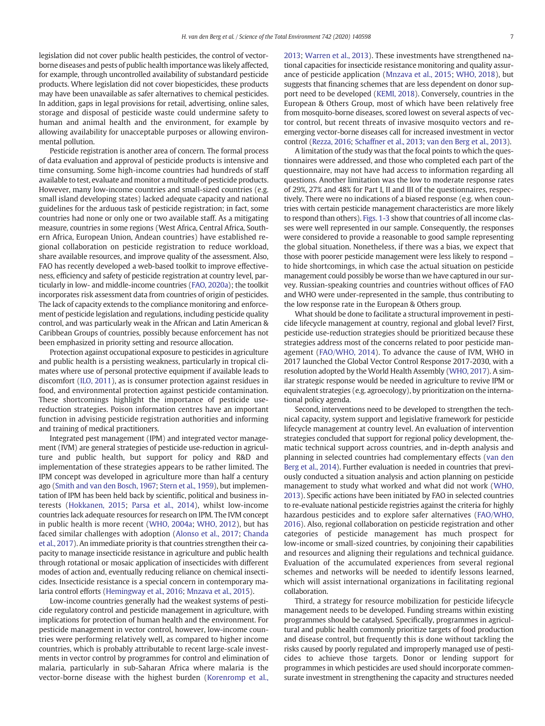legislation did not cover public health pesticides, the control of vectorborne diseases and pests of public health importance was likely affected, for example, through uncontrolled availability of substandard pesticide products. Where legislation did not cover biopesticides, these products may have been unavailable as safer alternatives to chemical pesticides. In addition, gaps in legal provisions for retail, advertising, online sales, storage and disposal of pesticide waste could undermine safety to human and animal health and the environment, for example by allowing availability for unacceptable purposes or allowing environmental pollution.

Pesticide registration is another area of concern. The formal process of data evaluation and approval of pesticide products is intensive and time consuming. Some high-income countries had hundreds of staff available to test, evaluate and monitor a multitude of pesticide products. However, many low-income countries and small-sized countries (e.g. small island developing states) lacked adequate capacity and national guidelines for the arduous task of pesticide registration; in fact, some countries had none or only one or two available staff. As a mitigating measure, countries in some regions (West Africa, Central Africa, Southern Africa, European Union, Andean countries) have established regional collaboration on pesticide registration to reduce workload, share available resources, and improve quality of the assessment. Also, FAO has recently developed a web-based toolkit to improve effectiveness, efficiency and safety of pesticide registration at country level, particularly in low- and middle-income countries [\(FAO, 2020a](#page-9-0)); the toolkit incorporates risk assessment data from countries of origin of pesticides. The lack of capacity extends to the compliance monitoring and enforcement of pesticide legislation and regulations, including pesticide quality control, and was particularly weak in the African and Latin American & Caribbean Groups of countries, possibly because enforcement has not been emphasized in priority setting and resource allocation.

Protection against occupational exposure to pesticides in agriculture and public health is a persisting weakness, particularly in tropical climates where use of personal protective equipment if available leads to discomfort ([ILO, 2011\)](#page-9-0), as is consumer protection against residues in food, and environmental protection against pesticide contamination. These shortcomings highlight the importance of pesticide usereduction strategies. Poison information centres have an important function in advising pesticide registration authorities and informing and training of medical practitioners.

Integrated pest management (IPM) and integrated vector management (IVM) are general strategies of pesticide use-reduction in agriculture and public health, but support for policy and R&D and implementation of these strategies appears to be rather limited. The IPM concept was developed in agriculture more than half a century ago [\(Smith and van den Bosch, 1967](#page-9-0); [Stern et al., 1959](#page-9-0)), but implementation of IPM has been held back by scientific, political and business interests [\(Hokkanen, 2015](#page-9-0); [Parsa et al., 2014\)](#page-9-0), whilst low-income countries lack adequate resources for research on IPM. The IVM concept in public health is more recent [\(WHO, 2004a](#page-9-0); [WHO, 2012](#page-9-0)), but has faced similar challenges with adoption [\(Alonso et al., 2017;](#page-8-0) [Chanda](#page-9-0) [et al., 2017](#page-9-0)). An immediate priority is that countries strengthen their capacity to manage insecticide resistance in agriculture and public health through rotational or mosaic application of insecticides with different modes of action and, eventually reducing reliance on chemical insecticides. Insecticide resistance is a special concern in contemporary malaria control efforts ([Hemingway et al., 2016;](#page-9-0) [Mnzava et al., 2015\)](#page-9-0).

Low-income countries generally had the weakest systems of pesticide regulatory control and pesticide management in agriculture, with implications for protection of human health and the environment. For pesticide management in vector control, however, low-income countries were performing relatively well, as compared to higher income countries, which is probably attributable to recent large-scale investments in vector control by programmes for control and elimination of malaria, particularly in sub-Saharan Africa where malaria is the vector-borne disease with the highest burden ([Korenromp et al.,](#page-9-0)

[2013;](#page-9-0) [Warren et al., 2013\)](#page-9-0). These investments have strengthened national capacities for insecticide resistance monitoring and quality assurance of pesticide application ([Mnzava et al., 2015;](#page-9-0) [WHO, 2018](#page-9-0)), but suggests that financing schemes that are less dependent on donor support need to be developed ([KEMI, 2018](#page-9-0)). Conversely, countries in the European & Others Group, most of which have been relatively free from mosquito-borne diseases, scored lowest on several aspects of vector control, but recent threats of invasive mosquito vectors and reemerging vector-borne diseases call for increased investment in vector control [\(Rezza, 2016](#page-9-0); [Schaffner et al., 2013;](#page-9-0) [van den Berg et al., 2013](#page-8-0)).

A limitation of the study was that the focal points to which the questionnaires were addressed, and those who completed each part of the questionnaire, may not have had access to information regarding all questions. Another limitation was the low to moderate response rates of 29%, 27% and 48% for Part I, II and III of the questionnaires, respectively. There were no indications of a biased response (e.g. when countries with certain pesticide management characteristics are more likely to respond than others). [Figs. 1-3](#page-3-0) show that countries of all income classes were well represented in our sample. Consequently, the responses were considered to provide a reasonable to good sample representing the global situation. Nonetheless, if there was a bias, we expect that those with poorer pesticide management were less likely to respond – to hide shortcomings, in which case the actual situation on pesticide management could possibly be worse than we have captured in our survey. Russian-speaking countries and countries without offices of FAO and WHO were under-represented in the sample, thus contributing to the low response rate in the European & Others group.

What should be done to facilitate a structural improvement in pesticide lifecycle management at country, regional and global level? First, pesticide use-reduction strategies should be prioritized because these strategies address most of the concerns related to poor pesticide management ([FAO/WHO, 2014](#page-9-0)). To advance the cause of IVM, WHO in 2017 launched the Global Vector Control Response 2017-2030, with a resolution adopted by the World Health Assembly [\(WHO, 2017\)](#page-9-0). A similar strategic response would be needed in agriculture to revive IPM or equivalent strategies (e.g. agroecology), by prioritization on the international policy agenda.

Second, interventions need to be developed to strengthen the technical capacity, system support and legislative framework for pesticide lifecycle management at country level. An evaluation of intervention strategies concluded that support for regional policy development, thematic technical support across countries, and in-depth analysis and planning in selected countries had complementary effects ([van den](#page-9-0) [Berg et al., 2014\)](#page-9-0). Further evaluation is needed in countries that previously conducted a situation analysis and action planning on pesticide management to study what worked and what did not work ([WHO,](#page-9-0) [2013](#page-9-0)). Specific actions have been initiated by FAO in selected countries to re-evaluate national pesticide registries against the criteria for highly hazardous pesticides and to explore safer alternatives ([FAO/WHO,](#page-9-0) [2016\)](#page-9-0). Also, regional collaboration on pesticide registration and other categories of pesticide management has much prospect for low-income or small-sized countries, by conjoining their capabilities and resources and aligning their regulations and technical guidance. Evaluation of the accumulated experiences from several regional schemes and networks will be needed to identify lessons learned, which will assist international organizations in facilitating regional collaboration.

Third, a strategy for resource mobilization for pesticide lifecycle management needs to be developed. Funding streams within existing programmes should be catalysed. Specifically, programmes in agricultural and public health commonly prioritize targets of food production and disease control, but frequently this is done without tackling the risks caused by poorly regulated and improperly managed use of pesticides to achieve those targets. Donor or lending support for programmes in which pesticides are used should incorporate commensurate investment in strengthening the capacity and structures needed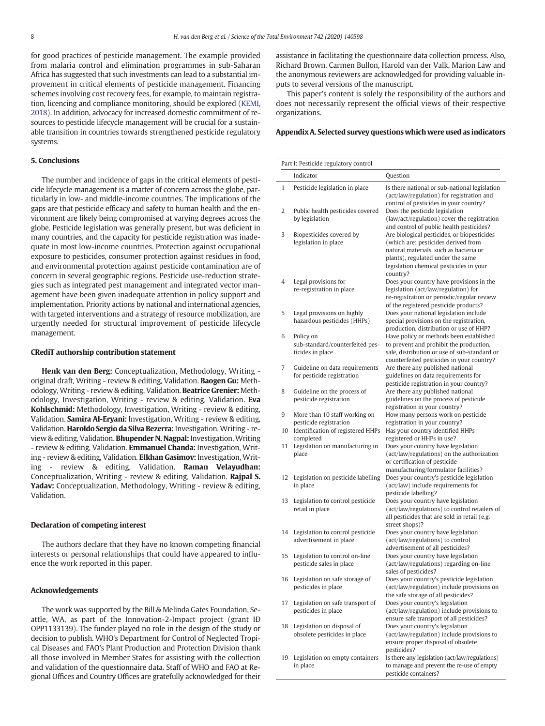for good practices of pesticide management. The example provided from malaria control and elimination programmes in sub-Saharan Africa has suggested that such investments can lead to a substantial improvement in critical elements of pesticide management. Financing schemes involving cost recovery fees, for example, to maintain registration, licencing and compliance monitoring, should be explored ([KEMI,](#page-9-0) [2018\)](#page-9-0). In addition, advocacy for increased domestic commitment of resources to pesticide lifecycle management will be crucial for a sustainable transition in countries towards strengthened pesticide regulatory systems.

#### 5. Conclusions

The number and incidence of gaps in the critical elements of pesticide lifecycle management is a matter of concern across the globe, particularly in low- and middle-income countries. The implications of the gaps are that pesticide efficacy and safety to human health and the environment are likely being compromised at varying degrees across the globe. Pesticide legislation was generally present, but was deficient in many countries, and the capacity for pesticide registration was inadequate in most low-income countries. Protection against occupational exposure to pesticides, consumer protection against residues in food, and environmental protection against pesticide contamination are of concern in several geographic regions. Pesticide use-reduction strategies such as integrated pest management and integrated vector management have been given inadequate attention in policy support and implementation. Priority actions by national and international agencies, with targeted interventions and a strategy of resource mobilization, are urgently needed for structural improvement of pesticide lifecycle management.

#### CRediT authorship contribution statement

Henk van den Berg: Conceptualization, Methodology, Writing original draft, Writing - review & editing, Validation. Baogen Gu: Methodology, Writing - review & editing, Validation. Beatrice Grenier: Methodology, Investigation, Writing - review & editing, Validation. Eva Kohlschmid: Methodology, Investigation, Writing - review & editing, Validation. Samira Al-Eryani: Investigation, Writing - review & editing, Validation. Haroldo Sergio da Silva Bezerra: Investigation,Writing - review & editing, Validation. **Bhupender N. Nagpal:** Investigation, Writing - review & editing, Validation. **Emmanuel Chanda:** Investigation, Writing - review & editing, Validation. Elkhan Gasimov: Investigation, Writing - review & editing, Validation. Raman Velayudhan: Conceptualization, Writing - review & editing, Validation. Rajpal S. Yadav: Conceptualization, Methodology, Writing - review & editing, Validation.

#### Declaration of competing interest

The authors declare that they have no known competing financial interests or personal relationships that could have appeared to influence the work reported in this paper.

#### Acknowledgements

The work was supported by the Bill & Melinda Gates Foundation, Seattle, WA, as part of the Innovation-2-Impact project (grant ID OPP1133139). The funder played no role in the design of the study or decision to publish. WHO's Department for Control of Neglected Tropical Diseases and FAO's Plant Production and Protection Division thank all those involved in Member States for assisting with the collection and validation of the questionnaire data. Staff of WHO and FAO at Regional Offices and Country Offices are gratefully acknowledged for their

assistance in facilitating the questionnaire data collection process. Also, Richard Brown, Carmen Bullon, Harold van der Valk, Marion Law and the anonymous reviewers are acknowledged for providing valuable inputs to several versions of the manuscript.

This paper's content is solely the responsibility of the authors and does not necessarily represent the official views of their respective organizations.

#### Appendix A. Selected survey questions which were used as indicators

|         | Part I: Pesticide regulatory control                                                                      |                                                                                                                                                                                                                          |
|---------|-----------------------------------------------------------------------------------------------------------|--------------------------------------------------------------------------------------------------------------------------------------------------------------------------------------------------------------------------|
|         | Indicator                                                                                                 | Question                                                                                                                                                                                                                 |
| 1       | Pesticide legislation in place                                                                            | Is there national or sub-national legislation<br>(act/law/regulation) for registration and<br>control of pesticides in your country?                                                                                     |
| 2       | Public health pesticides covered<br>by legislation                                                        | Does the pesticide legislation<br>(law/act/regulation) cover the registration<br>and control of public health pesticides?                                                                                                |
| 3       | Biopesticides covered by<br>legislation in place                                                          | Are biological pesticides, or biopesticides<br>(which are: pesticides derived from<br>natural materials, such as bacteria or<br>plants), regulated under the same<br>legislation chemical pesticides in your<br>country? |
| 4       | Legal provisions for<br>re-registration in place                                                          | Does your country have provisions in the<br>legislation (act/law/regulation) for<br>re-registration or periodic/regular review<br>of the registered pesticide products?                                                  |
| 5       | Legal provisions on highly<br>hazardous pesticides (HHPs)                                                 | Does your national legislation include<br>special provisions on the registration,<br>production, distribution or use of HHP?                                                                                             |
| 6       | Policy on<br>sub-standard/counterfeited pes-<br>ticides in place                                          | Have policy or methods been established<br>to prevent and prohibit the production,<br>sale, distribution or use of sub-standard or<br>counterfeited pesticides in your country?                                          |
| 7       | Guideline on data requirements<br>for pesticide registration                                              | Are there any published national<br>guidelines on data requirements for<br>pesticide registration in your country?                                                                                                       |
| 8       | Guideline on the process of<br>pesticide registration                                                     | Are there any published national<br>guidelines on the process of pesticide<br>registration in your country?                                                                                                              |
| 9<br>10 | More than 10 staff working on<br>pesticide registration<br>Identification of registered HHPs<br>completed | How many persons work on pesticide<br>registration in your country?<br>Has your country identified HHPs<br>registered or HHPs in use?                                                                                    |
| 11      | Legislation on manufacturing in<br>place                                                                  | Does your country have legislation<br>(act/law/regulations) on the authorization<br>or certification of pesticide<br>manufacturing/formulator facilities?                                                                |
| 12      | Legislation on pesticide labelling<br>in place                                                            | Does your country's pesticide legislation<br>(act/law) include requirements for<br>pesticide labelling?                                                                                                                  |
| 13      | Legislation to control pesticide<br>retail in place                                                       | Does your country have legislation<br>(act/law/regulations) to control retailers of<br>all pesticides that are sold in retail (e.g.<br>street shops)?                                                                    |
|         | 14 Legislation to control pesticide<br>advertisement in place                                             | Does your country have legislation<br>(act/law/regulations) to control<br>advertisement of all pesticides?                                                                                                               |
| 15      | Legislation to control on-line<br>pesticide sales in place                                                | Does your country have legislation<br>(act/law/regulations) regarding on-line<br>sales of pesticides?                                                                                                                    |
| 16      | Legislation on safe storage of<br>pesticides in place                                                     | Does your country's pesticide legislation<br>(act/law/regulation) include provisions on<br>the safe storage of all pesticides?                                                                                           |
| 17      | Legislation on safe transport of<br>pesticides in place                                                   | Does your country's legislation<br>(act/law/regulation) include provisions to<br>ensure safe transport of all pesticides?                                                                                                |
| 18      | Legislation on disposal of<br>obsolete pesticides in place                                                | Does your country's legislation<br>(act/law/regulation) include provisions to<br>ensure proper disposal of obsolete<br>pesticides?                                                                                       |
| 19      | Legislation on empty containers<br>in place                                                               | Is there any legislation (act/law/regulations)<br>to manage and prevent the re-use of empty<br>pesticide containers?                                                                                                     |
|         |                                                                                                           |                                                                                                                                                                                                                          |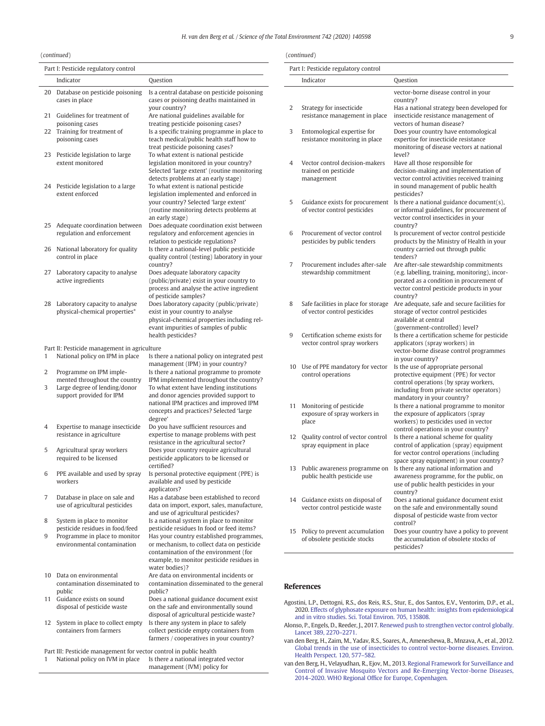### H. van den Berg et al. / Science of the Total Environment 742 (2020) 140598 9

<span id="page-8-0"></span>(continued)

|    | Part I: Pesticide regulatory control                                                                  |                                                                                                          |
|----|-------------------------------------------------------------------------------------------------------|----------------------------------------------------------------------------------------------------------|
|    | Indicator                                                                                             | Question                                                                                                 |
| 20 | Database on pesticide poisoning<br>cases in place                                                     | Is a central database on pesticide poisoning<br>cases or poisoning deaths maintained in<br>your country? |
| 21 | Guidelines for treatment of                                                                           | Are national guidelines available for                                                                    |
| 22 | poisoning cases<br>Training for treatment of                                                          | treating pesticide poisoning cases?<br>Is a specific training programme in place to                      |
|    | poisoning cases                                                                                       | teach medical/public health staff how to                                                                 |
| 23 |                                                                                                       | treat pesticide poisoning cases?<br>To what extent is national pesticide                                 |
|    | Pesticide legislation to large<br>extent monitored                                                    | legislation monitored in your country?<br>Selected 'large extent' (routine monitoring                    |
| 24 | Pesticide legislation to a large                                                                      | detects problems at an early stage)<br>To what extent is national pesticide                              |
|    | extent enforced                                                                                       | legislation implemented and enforced in                                                                  |
|    |                                                                                                       | your country? Selected 'large extent'<br>(routine monitoring detects problems at                         |
|    |                                                                                                       | an early stage)                                                                                          |
| 25 | Adequate coordination between                                                                         | Does adequate coordination exist between                                                                 |
|    | regulation and enforcement                                                                            | regulatory and enforcement agencies in<br>relation to pesticide regulations?                             |
| 26 | National laboratory for quality                                                                       | Is there a national-level public pesticide                                                               |
|    | control in place                                                                                      | quality control (testing) laboratory in your<br>country?                                                 |
| 27 | Laboratory capacity to analyse                                                                        | Does adequate laboratory capacity                                                                        |
|    | active ingredients                                                                                    | (public/private) exist in your country to                                                                |
|    |                                                                                                       | process and analyse the active ingredient<br>of pesticide samples?                                       |
| 28 | Laboratory capacity to analyse                                                                        | Does laboratory capacity (public/private)                                                                |
|    | physical-chemical properties*                                                                         | exist in your country to analyse<br>physical-chemical properties including rel-                          |
|    |                                                                                                       | evant impurities of samples of public                                                                    |
|    |                                                                                                       | health pesticides?                                                                                       |
|    | Part II: Pesticide management in agriculture                                                          |                                                                                                          |
| 1  | National policy on IPM in place                                                                       | Is there a national policy on integrated pest<br>management (IPM) in your country?                       |
| 2  | Programme on IPM imple-                                                                               | Is there a national programme to promote                                                                 |
|    | mented throughout the country                                                                         | IPM implemented throughout the country?                                                                  |
| 3  | Large degree of lending/donor<br>support provided for IPM                                             | To what extent have lending institutions<br>and donor agencies provided support to                       |
|    |                                                                                                       | national IPM practices and improved IPM                                                                  |
|    |                                                                                                       | concepts and practices? Selected 'large<br>degree'                                                       |
| 4  | Expertise to manage insecticide                                                                       | Do you have sufficient resources and                                                                     |
|    | resistance in agriculture                                                                             | expertise to manage problems with pest<br>resistance in the agricultural sector?                         |
| 5  | Agricultural spray workers                                                                            | Does your country require agricultural                                                                   |
|    | required to be licensed                                                                               | pesticide applicators to be licensed or                                                                  |
| 6  | PPE available and used by spray                                                                       | certified?<br>Is personal protective equipment (PPE) is                                                  |
|    | workers                                                                                               | available and used by pesticide                                                                          |
| 7  | Database in place on sale and                                                                         | applicators?<br>Has a database been established to record                                                |
|    | use of agricultural pesticides                                                                        | data on import, export, sales, manufacture,                                                              |
|    |                                                                                                       | and use of agricultural pesticides?                                                                      |
| 8  | System in place to monitor<br>pesticide residues in food/feed                                         | Is a national system in place to monitor<br>pesticide residues In food or feed items?                    |
| 9  | Programme in place to monitor                                                                         | Has your country established programmes,                                                                 |
|    | environmental contamination                                                                           | or mechanism, to collect data on pesticide<br>contamination of the environment (for                      |
|    |                                                                                                       | example, to monitor pesticide residues in                                                                |
|    |                                                                                                       | water bodies)?                                                                                           |
| 10 | Data on environmental<br>contamination disseminated to                                                | Are data on environmental incidents or<br>contamination disseminated to the general                      |
|    | public                                                                                                | public?                                                                                                  |
| 11 | Guidance exists on sound                                                                              | Does a national guidance document exist<br>on the safe and environmentally sound                         |
|    | disposal of pesticide waste                                                                           | disposal of agricultural pesticide waste?                                                                |
| 12 | System in place to collect empty                                                                      | Is there any system in place to safely                                                                   |
|    | containers from farmers                                                                               | collect pesticide empty containers from<br>farmers / cooperatives in your country?                       |
|    |                                                                                                       |                                                                                                          |
| 1  | Part III: Pesticide management for vector control in public health<br>National policy on IVM in place | Is there a national integrated vector                                                                    |
|    |                                                                                                       | management (IVM) policy for                                                                              |

#### (continued)

|    | Part I: Pesticide regulatory control                                 |                                                                                                                                                                                                |
|----|----------------------------------------------------------------------|------------------------------------------------------------------------------------------------------------------------------------------------------------------------------------------------|
|    | Indicator                                                            | Question                                                                                                                                                                                       |
| 2  | Strategy for insecticide<br>resistance management in place           | vector-borne disease control in your<br>country?<br>Has a national strategy been developed for<br>insecticide resistance management of<br>vectors of human disease?                            |
| 3  | Entomological expertise for<br>resistance monitoring in place        | Does your country have entomological<br>expertise for insecticide resistance<br>monitoring of disease vectors at national<br>level?                                                            |
| 4  | Vector control decision-makers<br>trained on pesticide<br>management | Have all those responsible for<br>decision-making and implementation of<br>vector control activities received training<br>in sound management of public health<br>pesticides?                  |
| 5  | Guidance exists for procurement<br>of vector control pesticides      | Is there a national guidance document(s),<br>or informal guidelines, for procurement of<br>vector control insecticides in your<br>country?                                                     |
| 6  | Procurement of vector control<br>pesticides by public tenders        | Is procurement of vector control pesticide<br>products by the Ministry of Health in your<br>country carried out through public<br>tenders?                                                     |
| 7  | Procurement includes after-sale<br>stewardship commitment            | Are after-sale stewardship commitments<br>(e.g. labelling, training, monitoring), incor-<br>porated as a condition in procurement of<br>vector control pesticide products in your<br>country?  |
| 8  | Safe facilities in place for storage<br>of vector control pesticides | Are adequate, safe and secure facilities for<br>storage of vector control pesticides<br>available at central<br>(government-controlled) level?                                                 |
| 9  | Certification scheme exists for<br>vector control spray workers      | Is there a certification scheme for pesticide<br>applicators (spray workers) in<br>vector-borne disease control programmes<br>in your country?                                                 |
| 10 | Use of PPE mandatory for vector<br>control operations                | Is the use of appropriate personal<br>protective equipment (PPE) for vector<br>control operations (by spray workers,<br>including from private sector operators)<br>mandatory in your country? |
| 11 | Monitoring of pesticide<br>exposure of spray workers in<br>place     | Is there a national programme to monitor<br>the exposure of applicators (spray<br>workers) to pesticides used in vector<br>control operations in your country?                                 |
| 12 | Quality control of vector control<br>spray equipment in place        | Is there a national scheme for quality<br>control of application (spray) equipment<br>for vector control operations (including<br>space spray equipment) in your country?                      |
| 13 | Public awareness programme on<br>public health pesticide use         | Is there any national information and<br>awareness programme, for the public, on<br>use of public health pesticides in your<br>country?                                                        |
| 14 | Guidance exists on disposal of<br>vector control pesticide waste     | Does a national guidance document exist<br>on the safe and environmentally sound<br>disposal of pesticide waste from vector<br>control?                                                        |
| 15 | Policy to prevent accumulation<br>of obsolete pesticide stocks       | Does your country have a policy to prevent<br>the accumulation of obsolete stocks of<br>pesticides?                                                                                            |

# References

- Agostini, L.P., Dettogni, R.S., dos Reis, R.S., Stur, E., dos Santos, E.V., Ventorim, D.P., et al., 2020. [Effects of glyphosate exposure on human health: insights from epidemiological](http://refhub.elsevier.com/S0048-9697(20)34120-6/rf0005) [and in vitro studies. Sci. Total Environ. 705, 135808.](http://refhub.elsevier.com/S0048-9697(20)34120-6/rf0005)
- Alonso, P., Engels, D., Reeder, J., 2017. [Renewed push to strengthen vector control globally.](http://refhub.elsevier.com/S0048-9697(20)34120-6/rf0010) [Lancet 389, 2270](http://refhub.elsevier.com/S0048-9697(20)34120-6/rf0010)–2271.
- van den Berg, H., Zaim, M., Yadav, R.S., Soares, A., Ameneshewa, B., Mnzava, A., et al., 2012. [Global trends in the use of insecticides to control vector-borne diseases. Environ.](http://refhub.elsevier.com/S0048-9697(20)34120-6/rf0015) [Health Perspect. 120, 577](http://refhub.elsevier.com/S0048-9697(20)34120-6/rf0015)–582.
- van den Berg, H., Velayudhan, R., Ejov, M., 2013. [Regional Framework for Surveillance and](http://refhub.elsevier.com/S0048-9697(20)34120-6/rf0165) [Control of Invasive Mosquito Vectors and Re-Emerging Vector-borne Diseases,](http://refhub.elsevier.com/S0048-9697(20)34120-6/rf0165) 2014–2020. WHO Regional Offi[ce for Europe, Copenhagen.](http://refhub.elsevier.com/S0048-9697(20)34120-6/rf0165)